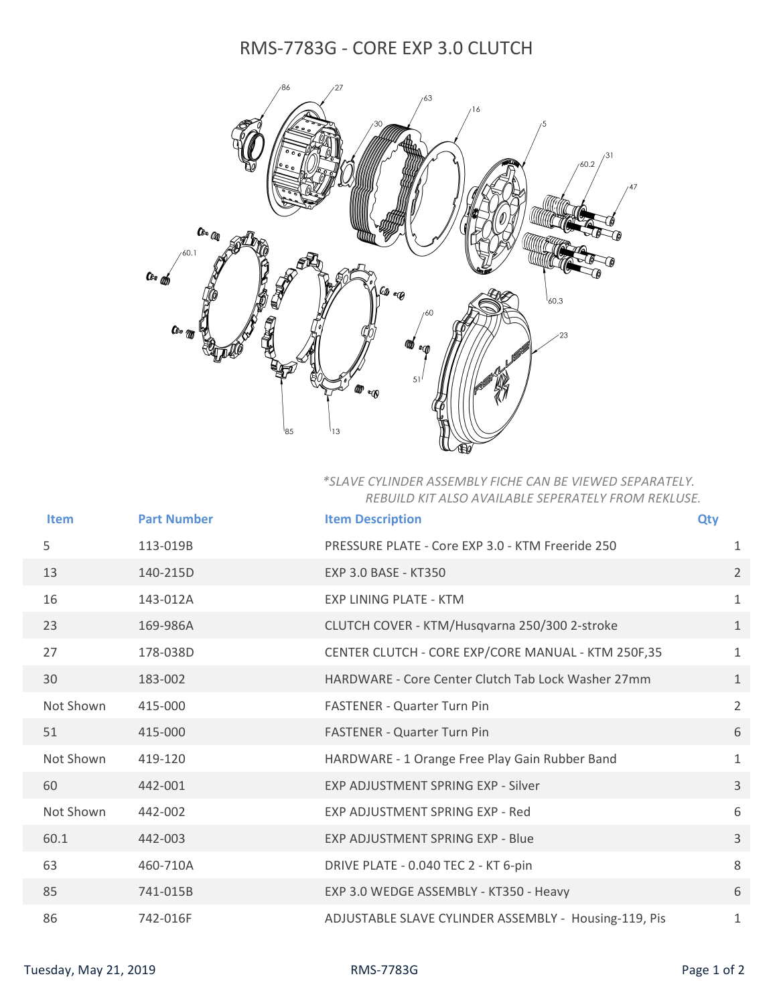## RMS-7783G - CORE EXP 3.0 CLUTCH



## *\*SLAVE CYLINDER ASSEMBLY FICHE CAN BE VIEWED SEPARATELY. REBUILD KIT ALSO AVAILABLE SEPERATELY FROM REKLUSE.*

| <b>Item</b> | <b>Part Number</b> | <b>Item Description</b>                               | <b>Qty</b>     |
|-------------|--------------------|-------------------------------------------------------|----------------|
| 5           | 113-019B           | PRESSURE PLATE - Core EXP 3.0 - KTM Freeride 250      | 1              |
| 13          | 140-215D           | <b>EXP 3.0 BASE - KT350</b>                           | $\overline{2}$ |
| 16          | 143-012A           | <b>EXP LINING PLATE - KTM</b>                         | $\mathbf 1$    |
| 23          | 169-986A           | CLUTCH COVER - KTM/Husqvarna 250/300 2-stroke         | $\mathbf{1}$   |
| 27          | 178-038D           | CENTER CLUTCH - CORE EXP/CORE MANUAL - KTM 250F,35    | $\mathbf{1}$   |
| 30          | 183-002            | HARDWARE - Core Center Clutch Tab Lock Washer 27mm    | $\mathbf{1}$   |
| Not Shown   | 415-000            | <b>FASTENER - Quarter Turn Pin</b>                    | $\overline{2}$ |
| 51          | 415-000            | FASTENER - Quarter Turn Pin                           | 6              |
| Not Shown   | 419-120            | HARDWARE - 1 Orange Free Play Gain Rubber Band        | $\mathbf{1}$   |
| 60          | 442-001            | <b>EXP ADJUSTMENT SPRING EXP - Silver</b>             | $\overline{3}$ |
| Not Shown   | 442-002            | EXP ADJUSTMENT SPRING EXP - Red                       | 6              |
| 60.1        | 442-003            | EXP ADJUSTMENT SPRING EXP - Blue                      | $\overline{3}$ |
| 63          | 460-710A           | DRIVE PLATE - 0.040 TEC 2 - KT 6-pin                  | 8              |
| 85          | 741-015B           | EXP 3.0 WEDGE ASSEMBLY - KT350 - Heavy                | 6              |
| 86          | 742-016F           | ADJUSTABLE SLAVE CYLINDER ASSEMBLY - Housing-119, Pis | 1              |